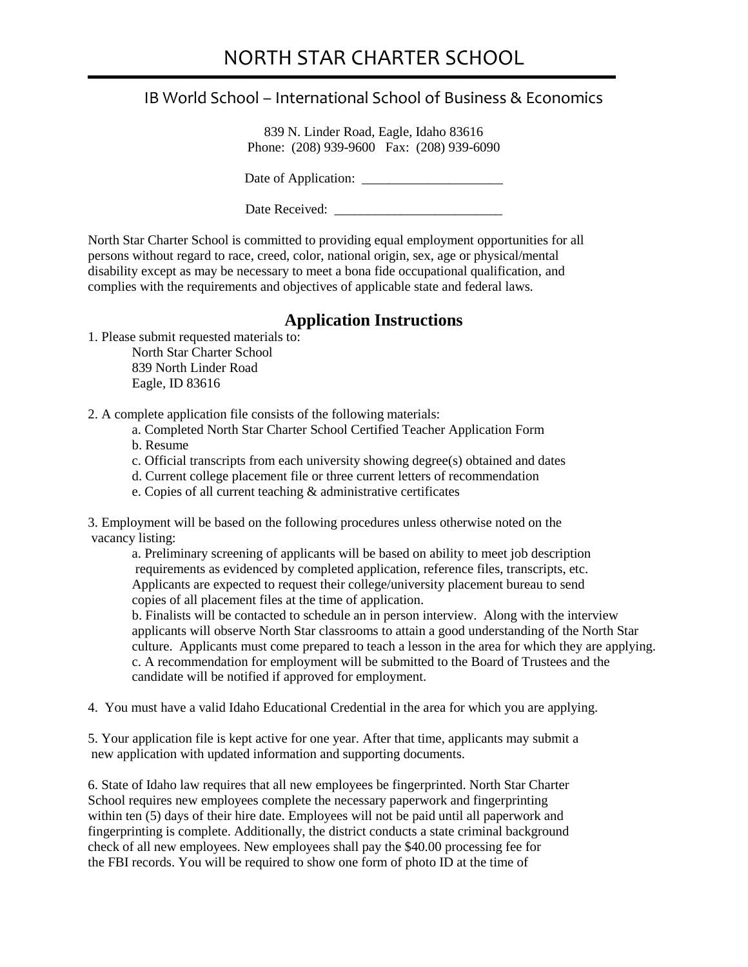## IB World School – International School of Business & Economics

839 N. Linder Road, Eagle, Idaho 83616 Phone: (208) 939-9600 Fax: (208) 939-6090

Date of Application: \_\_\_\_\_\_\_\_\_\_\_\_\_\_\_\_\_\_\_\_\_

Date Received:

North Star Charter School is committed to providing equal employment opportunities for all persons without regard to race, creed, color, national origin, sex, age or physical/mental disability except as may be necessary to meet a bona fide occupational qualification, and complies with the requirements and objectives of applicable state and federal laws.

## **Application Instructions**

1. Please submit requested materials to: North Star Charter School 839 North Linder Road Eagle, ID 83616

2. A complete application file consists of the following materials:

- a. Completed North Star Charter School Certified Teacher Application Form
- b. Resume
- c. Official transcripts from each university showing degree(s) obtained and dates
- d. Current college placement file or three current letters of recommendation
- e. Copies of all current teaching & administrative certificates

3. Employment will be based on the following procedures unless otherwise noted on the vacancy listing:

a. Preliminary screening of applicants will be based on ability to meet job description requirements as evidenced by completed application, reference files, transcripts, etc. Applicants are expected to request their college/university placement bureau to send copies of all placement files at the time of application.

b. Finalists will be contacted to schedule an in person interview. Along with the interview applicants will observe North Star classrooms to attain a good understanding of the North Star culture. Applicants must come prepared to teach a lesson in the area for which they are applying. c. A recommendation for employment will be submitted to the Board of Trustees and the candidate will be notified if approved for employment.

4. You must have a valid Idaho Educational Credential in the area for which you are applying.

5. Your application file is kept active for one year. After that time, applicants may submit a new application with updated information and supporting documents.

6. State of Idaho law requires that all new employees be fingerprinted. North Star Charter School requires new employees complete the necessary paperwork and fingerprinting within ten (5) days of their hire date. Employees will not be paid until all paperwork and fingerprinting is complete. Additionally, the district conducts a state criminal background check of all new employees. New employees shall pay the \$40.00 processing fee for the FBI records. You will be required to show one form of photo ID at the time of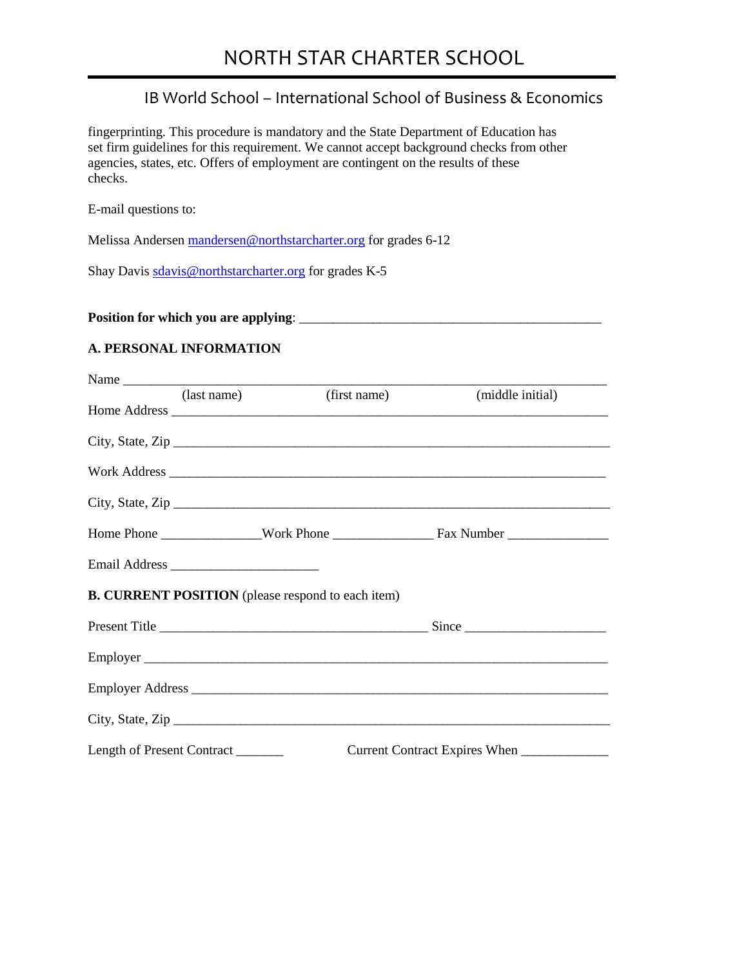# NORTH STAR CHARTER SCHOOL

### IB World School – International School of Business & Economics

fingerprinting. This procedure is mandatory and the State Department of Education has set firm guidelines for this requirement. We cannot accept background checks from other agencies, states, etc. Offers of employment are contingent on the results of these checks.

E-mail questions to:

Melissa Andersen [mandersen@northstarcharter.org](mailto:mandersen@northstarcharter.org) for grades 6-12

Shay Davis [sdavis@northstarcharter.org](mailto:sdavis@northstarcharter.org) for grades K-5

**Position for which you are applying**: \_\_\_\_\_\_\_\_\_\_\_\_\_\_\_\_\_\_\_\_\_\_\_\_\_\_\_\_\_\_\_\_\_\_\_\_\_\_\_\_\_\_\_\_\_

#### **A. PERSONAL INFORMATION**

| (last name)                        | (first name)                                             | (middle initial) |
|------------------------------------|----------------------------------------------------------|------------------|
|                                    |                                                          |                  |
|                                    |                                                          | City, State, Zip |
|                                    |                                                          |                  |
|                                    |                                                          | City, State, Zip |
|                                    |                                                          |                  |
|                                    |                                                          |                  |
|                                    | <b>B. CURRENT POSITION</b> (please respond to each item) |                  |
|                                    |                                                          |                  |
|                                    |                                                          |                  |
|                                    |                                                          |                  |
|                                    |                                                          |                  |
| Length of Present Contract _______ |                                                          |                  |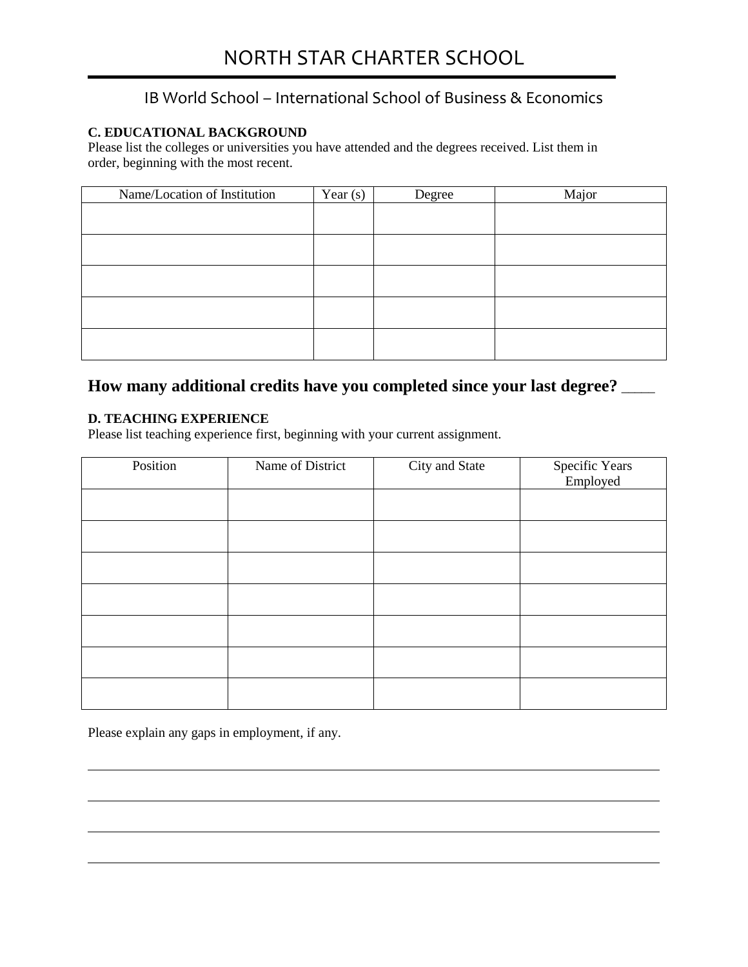## IB World School – International School of Business & Economics

#### **C. EDUCATIONAL BACKGROUND**

Please list the colleges or universities you have attended and the degrees received. List them in order, beginning with the most recent.

| Name/Location of Institution | Year $(s)$ | Degree | Major |
|------------------------------|------------|--------|-------|
|                              |            |        |       |
|                              |            |        |       |
|                              |            |        |       |
|                              |            |        |       |
|                              |            |        |       |
|                              |            |        |       |

## **How many additional credits have you completed since your last degree?** \_\_\_\_\_

#### **D. TEACHING EXPERIENCE**

Please list teaching experience first, beginning with your current assignment.

| Position | Name of District | City and State | Specific Years<br>Employed |
|----------|------------------|----------------|----------------------------|
|          |                  |                |                            |
|          |                  |                |                            |
|          |                  |                |                            |
|          |                  |                |                            |
|          |                  |                |                            |
|          |                  |                |                            |
|          |                  |                |                            |

Please explain any gaps in employment, if any.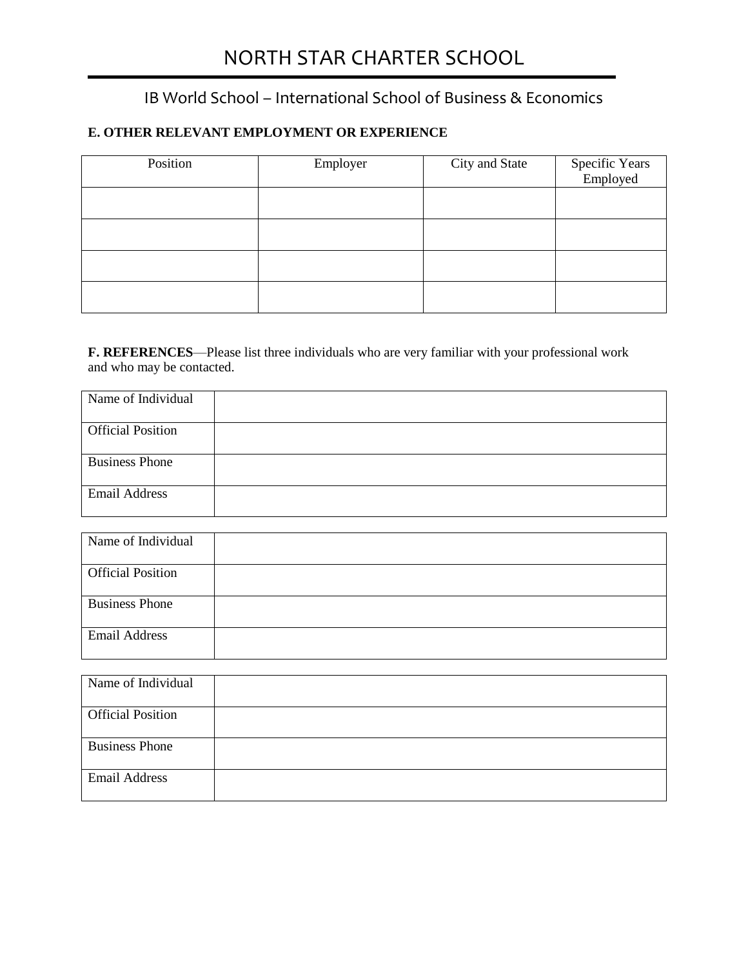# NORTH STAR CHARTER SCHOOL

## IB World School – International School of Business & Economics

## **E. OTHER RELEVANT EMPLOYMENT OR EXPERIENCE**

| Position | Employer | City and State | Specific Years<br>Employed |
|----------|----------|----------------|----------------------------|
|          |          |                |                            |
|          |          |                |                            |
|          |          |                |                            |
|          |          |                |                            |

**F. REFERENCES**—Please list three individuals who are very familiar with your professional work and who may be contacted.

| Name of Individual       |  |
|--------------------------|--|
| <b>Official Position</b> |  |
| <b>Business Phone</b>    |  |
| <b>Email Address</b>     |  |

| Name of Individual       |  |
|--------------------------|--|
| <b>Official Position</b> |  |
| <b>Business Phone</b>    |  |
| <b>Email Address</b>     |  |

| Name of Individual       |  |
|--------------------------|--|
| <b>Official Position</b> |  |
|                          |  |
| <b>Business Phone</b>    |  |
|                          |  |
| <b>Email Address</b>     |  |
|                          |  |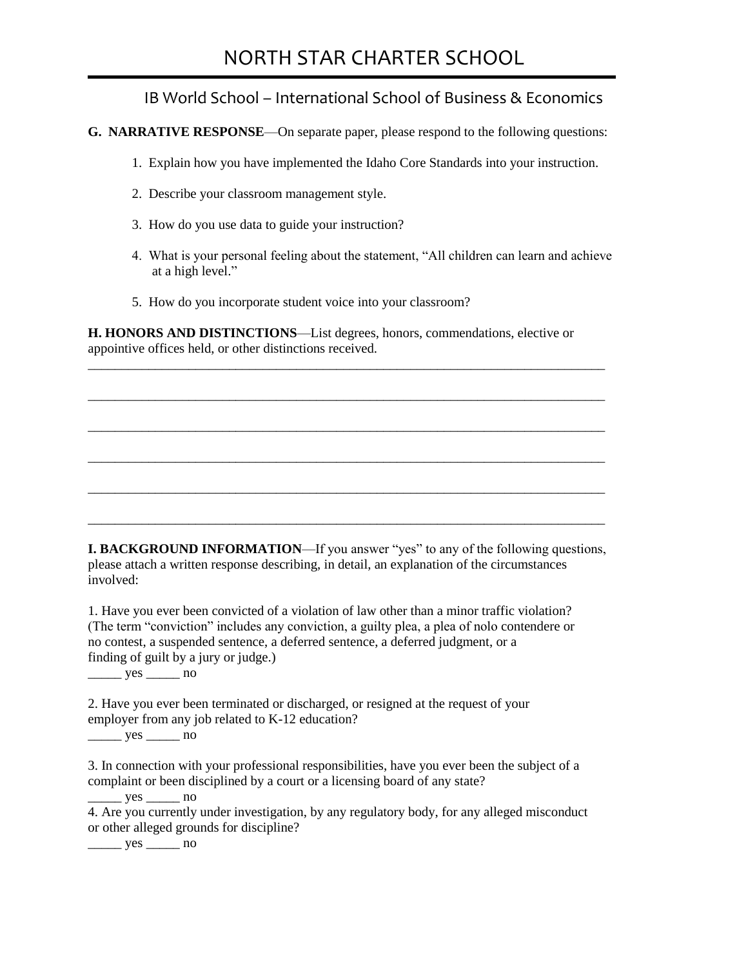## NORTH STAR CHARTER SCHOOL

## IB World School – International School of Business & Economics

**G. NARRATIVE RESPONSE**—On separate paper, please respond to the following questions:

- 1. Explain how you have implemented the Idaho Core Standards into your instruction.
- 2. Describe your classroom management style.
- 3. How do you use data to guide your instruction?
- 4. What is your personal feeling about the statement, "All children can learn and achieve at a high level."
- 5. How do you incorporate student voice into your classroom?

**H. HONORS AND DISTINCTIONS**—List degrees, honors, commendations, elective or appointive offices held, or other distinctions received.

\_\_\_\_\_\_\_\_\_\_\_\_\_\_\_\_\_\_\_\_\_\_\_\_\_\_\_\_\_\_\_\_\_\_\_\_\_\_\_\_\_\_\_\_\_\_\_\_\_\_\_\_\_\_\_\_\_\_\_\_\_\_\_\_\_\_\_\_\_\_\_\_\_\_\_\_\_

\_\_\_\_\_\_\_\_\_\_\_\_\_\_\_\_\_\_\_\_\_\_\_\_\_\_\_\_\_\_\_\_\_\_\_\_\_\_\_\_\_\_\_\_\_\_\_\_\_\_\_\_\_\_\_\_\_\_\_\_\_\_\_\_\_\_\_\_\_\_\_\_\_\_\_\_\_

\_\_\_\_\_\_\_\_\_\_\_\_\_\_\_\_\_\_\_\_\_\_\_\_\_\_\_\_\_\_\_\_\_\_\_\_\_\_\_\_\_\_\_\_\_\_\_\_\_\_\_\_\_\_\_\_\_\_\_\_\_\_\_\_\_\_\_\_\_\_\_\_\_\_\_\_\_

\_\_\_\_\_\_\_\_\_\_\_\_\_\_\_\_\_\_\_\_\_\_\_\_\_\_\_\_\_\_\_\_\_\_\_\_\_\_\_\_\_\_\_\_\_\_\_\_\_\_\_\_\_\_\_\_\_\_\_\_\_\_\_\_\_\_\_\_\_\_\_\_\_\_\_\_\_

\_\_\_\_\_\_\_\_\_\_\_\_\_\_\_\_\_\_\_\_\_\_\_\_\_\_\_\_\_\_\_\_\_\_\_\_\_\_\_\_\_\_\_\_\_\_\_\_\_\_\_\_\_\_\_\_\_\_\_\_\_\_\_\_\_\_\_\_\_\_\_\_\_\_\_\_\_

\_\_\_\_\_\_\_\_\_\_\_\_\_\_\_\_\_\_\_\_\_\_\_\_\_\_\_\_\_\_\_\_\_\_\_\_\_\_\_\_\_\_\_\_\_\_\_\_\_\_\_\_\_\_\_\_\_\_\_\_\_\_\_\_\_\_\_\_\_\_\_\_\_\_\_\_\_

**I. BACKGROUND INFORMATION—If you answer "yes" to any of the following questions,** please attach a written response describing, in detail, an explanation of the circumstances involved:

1. Have you ever been convicted of a violation of law other than a minor traffic violation? (The term "conviction" includes any conviction, a guilty plea, a plea of nolo contendere or no contest, a suspended sentence, a deferred sentence, a deferred judgment, or a finding of guilt by a jury or judge.)

 $\frac{\text{yes}}{\text{yes}}$  no

2. Have you ever been terminated or discharged, or resigned at the request of your employer from any job related to K-12 education?

 $\frac{\text{yes}}{\text{yes}}$  no

3. In connection with your professional responsibilities, have you ever been the subject of a complaint or been disciplined by a court or a licensing board of any state?

 $yes$  no

4. Are you currently under investigation, by any regulatory body, for any alleged misconduct or other alleged grounds for discipline?

 $\frac{\text{yes}}{\text{yes}}$  no